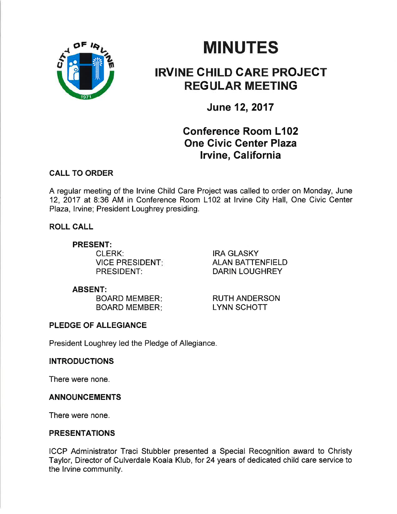

# **MINUTES**

## IRVINE CHILD GARE PROJEGT REGULAR MEETING

June 12,2017

## Gonference Room L102 One Civic Genter Plaza lrvine, California

### CALL TO ORDER

A regular meeting of the lrvine Child Care Project was called to order on Monday, June 12, 2017 at 8:36 AM in Conference Room L102 at lrvine City Hall, One Civic Center Plaza, lrvine; President Loughrey presiding.

ROLL CALL

#### PRESENT:

CLERK: VICE PRESIDENT PRESIDENT:

IRA GLASKY ALAN BATTENFIELD DARIN LOUGHREY

#### ABSENT:

BOARD MEMBER BOARD MEMBER

RUTH ANDERSON LYNN SCHOTT

## PLEDGE OF ALLEGIANCE

President Loughrey led the Pledge of Allegiance.

### INTRODUCTIONS

There were none.

#### ANNOUNCEMENTS

There were none.

#### PRESENTATIONS

ICCP Administrator Traci Stubbler presented a Special Recognition award to Christy Taylor, Director of Culverdale Koala Klub, for 24 years of dedicated child care service to the lrvine community.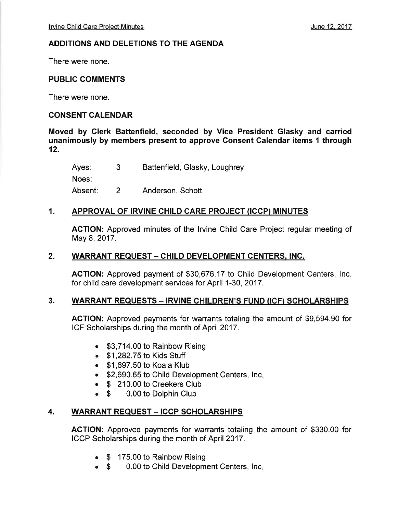#### ADDITIONS AND DELETIONS TO THE AGENDA

There were none.

#### PUBLIC COMMENTS

There were none.

#### CONSENT CALENDAR

Moved by Clerk Battenfield, seconded by Vice President Glasky and carried unanimously by members present to approve Consent Calendar items I through 12.

| Ayes:   | 3 | Battenfield, Glasky, Loughrey |
|---------|---|-------------------------------|
| Noes:   |   |                               |
| Absent: |   | Anderson, Schott              |

#### 1. APPROVAL OF IRVINE CHILD CARE PROJECT (ICCP} MINUTES

ACTION: Approved minutes of the lrvine Child Care Project regular meeting of May 8, 2017.

#### 2. WARRANT REQUEST - CHILD DEVELOPMENT CENTERS, INC.

ACTION: Approved payment of \$30,676.17 to Child Development Centers, Inc. for child care development services for April 1-30,2017.

#### 3. WARRANT REQUESTS - IRVINE CHILDREN'S FUND (ICF) SCHOLARSHIPS

ACTION: Approved payments for warrants totaling the amount of \$9,594.90 for ICF Scholarships during the month of April 2017.

- . \$3,714.00 to Rainbow Rising
- . \$1 ,282.75 to Kids Stuff
- . \$1,697.50 to Koala Klub
- \$2,690.65 to Child Development Centers, Inc.
- **S** 210.00 to Creekers Club<br>**S** 0.00 to Dolphin Club
- 0.00 to Dolphin Club

#### 4. WARRANT REQUEST - ICCP SCHOLARSHIPS

ACTION: Approved payments for warrants totaling the amount of \$330.00 for ICCP Scholarships during the month of April 2017.

- \$ 175.00 to Rainbow Rising
- 0.00 to Child Development Centers, Inc.  $\bullet$  \$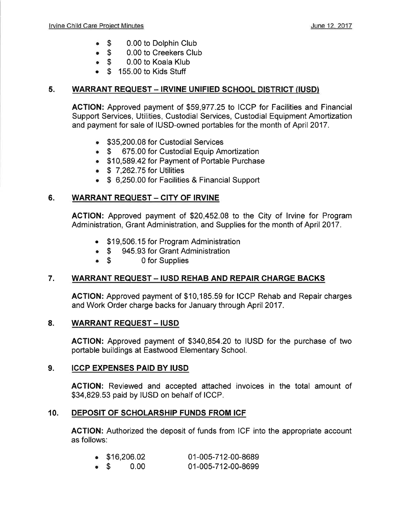- $\bullet$  S 0.00 to Dolphin Club
- $\bullet$  \$ 0.00 to Creekers Club
- $\bullet$  \$ 0.00 to Koala Klub
- $\bullet$  \$ 155.00 to Kids Stuff

#### 5. WARRANT REQUEST - IRVINE UNIFIED SCHOOL DISTRICT (IUSD)

ACTION: Approved payment of \$59,977.25 Io ICCP for Facilities and Financial Support Services, Utilities, Custodial Services, Custodial Equipment Amortization and payment for sale of IUSD-owned portables for the month of April 2017.

- **\$35,200.08 for Custodial Services**<br>• \$ 675.00 for Custodial Equip An
- 675.00 for Custodial Equip Amortization
- . \$10,589.42 for Payment of Portable Purchase
- $\bullet$  \$ 7,262.75 for Utilities
- . \$ 6,250.00 for Facilities & Financial Support

### 6. WARRANT REQUEST - CITY OF IRVINE

ACTION: Approved payment of \$20,452.08 to the City of lrvine for Program Administration, Grant Administration, and Supplies for the month of April 2017 .

- \$19,506.15 for Program Administration
- \$ 945.93 for Grant Administration<br>• \$ 0 for Supplies
- 0 for Supplies

### 7. WARRANT REQUEST - IUSD REHAB AND REPAIR CHARGE BACKS

AGTION: Approved payment of \$10,185.59 for ICCP Rehab and Repair charges and Work Order charge backs for January through April 2017.

#### 8. WARRANT REQUEST - IUSD

ACTION: Approved payment of \$340,854.20 to IUSD for the purchase of two portable buildings at Eastwood Elementary School.

#### 9. ICCP EXPENSES PAID BY IUSD

AGTION: Reviewed and accepted attached invoices in the total amount of \$34,829.53 paid by IUSD on behalf of ICCP.

#### 10. DEPOSIT OF SCHOLARSHIP FUNDS FROM ICF

AGTION: Authorized the deposit of funds from ICF into the appropriate account as follows:

|             | $\bullet$ \$16,206.02 |      | 01-005-712-00-8689 |
|-------------|-----------------------|------|--------------------|
| $\bullet$ S |                       | 0.00 | 01-005-712-00-8699 |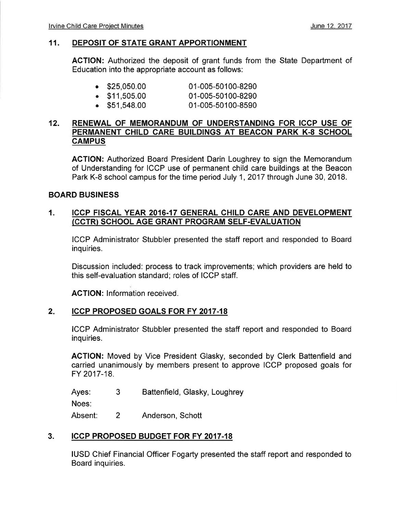#### 11. DEPOSIT OF STATE GRANT APPORTIONMENT

ACTION: Authorized the deposit of grant funds from the State Department of Education into the appropriate account as follows:

| $\bullet$ \$25,050.00 | 01-005-50100-8290 |
|-----------------------|-------------------|
| $\bullet$ \$11,505.00 | 01-005-50100-8290 |

. \$51,548.00 01-005-50100-8590

#### 12. RENEWAL OF MEMORANDUM OF UNDERSTANDING FOR ICCP USE OF PERMANENT CHILD CARE BUILDINGS AT BEACON PARK K-8 SCHOOL **CAMPUS**

ACTION: Authorized Board President Darin Loughrey to sign the Memorandum of Understanding for ICCP use of permanent child care buildings at the Beacon Park K-8 school campus for the time period July 1,2017 through June 30, 2018.

#### BOARD BUSINESS

#### 1. ICCP FISCAL YEAR 2016.17 GENERAL CHILD CARE AND DEVELOPMENT (CCTR) SCHOOL AGE GRANT PROGRAM SELF-EVALUATION

ICCP Administrator Stubbler presented the staff report and responded to Board inquiries.

Discussion included: process to track improvements; which providers are held to this self-evaluation standard; roles of ICCP staff.

AGTION: lnformation received.

#### ICCP PROPOSED GOALS FOR FY 20I7.18  $2.$

ICCP Administrator Stubbler presented the staff report and responded to Board inquiries.

ACTION: Moved by Vice President Glasky, seconded by Clerk Battenfield and carried unanimously by members present to approve ICCP proposed goals for FY 2017-18.

Ayes: Battenfield, Glasky, Loughrey 3

Noes:

Absent: Anderson, Schott 2

#### 3. ICCP PROPOSED BUDGET FOR FY 2017-18

IUSD Chief Financial Officer Fogarty presented the staff report and responded to Board inquiries.